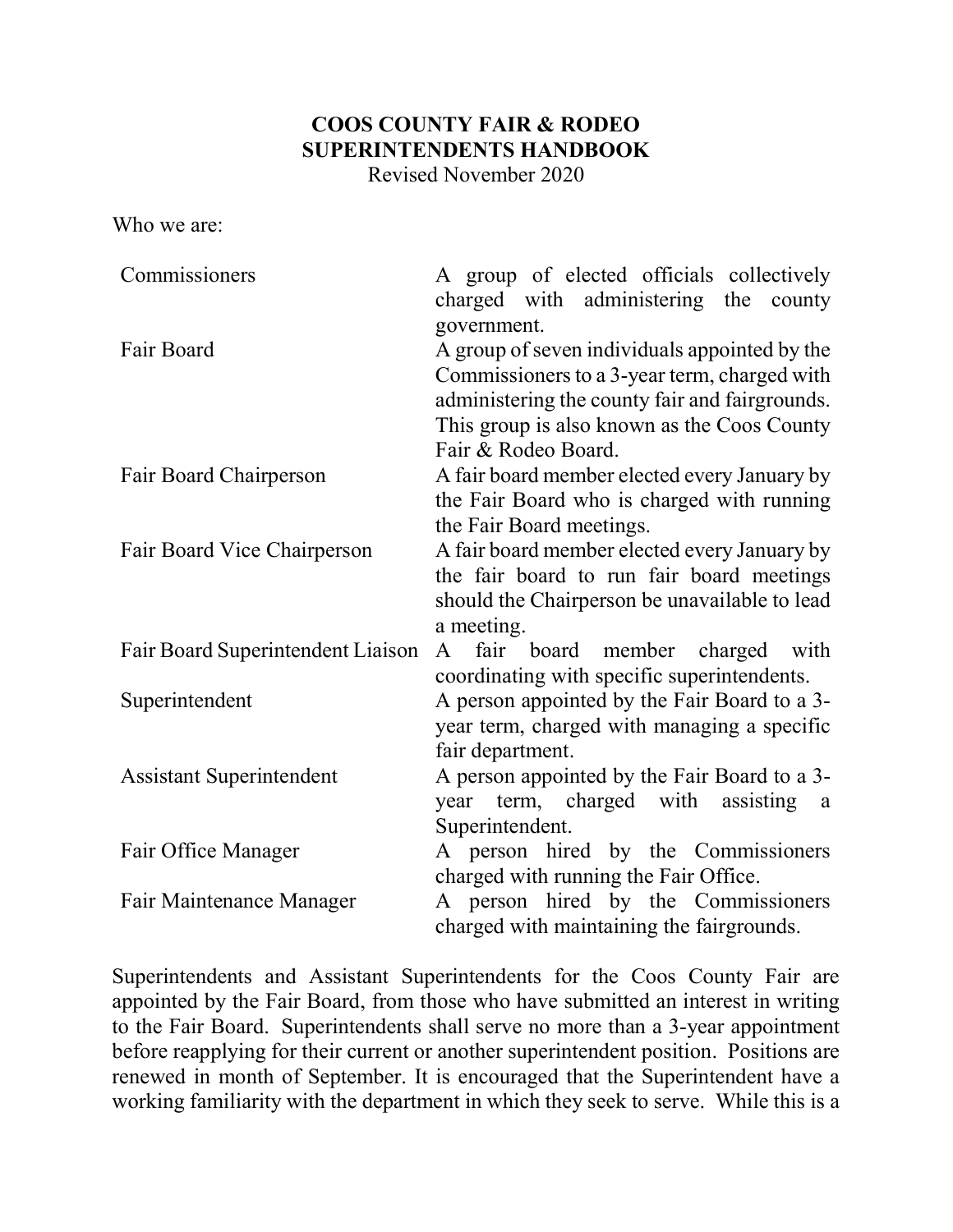# COOS COUNTY FAIR & RODEO SUPERINTENDENTS HANDBOOK

Revised November 2020

Who we are:

| Commissioners                     | A group of elected officials collectively<br>charged with administering the<br>county<br>government.                                                                                           |
|-----------------------------------|------------------------------------------------------------------------------------------------------------------------------------------------------------------------------------------------|
| Fair Board                        | A group of seven individuals appointed by the<br>Commissioners to a 3-year term, charged with<br>administering the county fair and fairgrounds.<br>This group is also known as the Coos County |
| Fair Board Chairperson            | Fair & Rodeo Board.<br>A fair board member elected every January by<br>the Fair Board who is charged with running<br>the Fair Board meetings.                                                  |
| Fair Board Vice Chairperson       | A fair board member elected every January by<br>the fair board to run fair board meetings<br>should the Chairperson be unavailable to lead<br>a meeting.                                       |
| Fair Board Superintendent Liaison | fair board member charged with<br>$\mathsf{A}$<br>coordinating with specific superintendents.                                                                                                  |
| Superintendent                    | A person appointed by the Fair Board to a 3-<br>year term, charged with managing a specific<br>fair department.                                                                                |
| <b>Assistant Superintendent</b>   | A person appointed by the Fair Board to a 3-<br>year term, charged with assisting<br><sub>a</sub><br>Superintendent.                                                                           |
| Fair Office Manager               | A person hired by the Commissioners<br>charged with running the Fair Office.                                                                                                                   |
| Fair Maintenance Manager          | A person hired by the Commissioners<br>charged with maintaining the fairgrounds.                                                                                                               |

Superintendents and Assistant Superintendents for the Coos County Fair are appointed by the Fair Board, from those who have submitted an interest in writing to the Fair Board. Superintendents shall serve no more than a 3-year appointment before reapplying for their current or another superintendent position. Positions are renewed in month of September. It is encouraged that the Superintendent have a working familiarity with the department in which they seek to serve. While this is a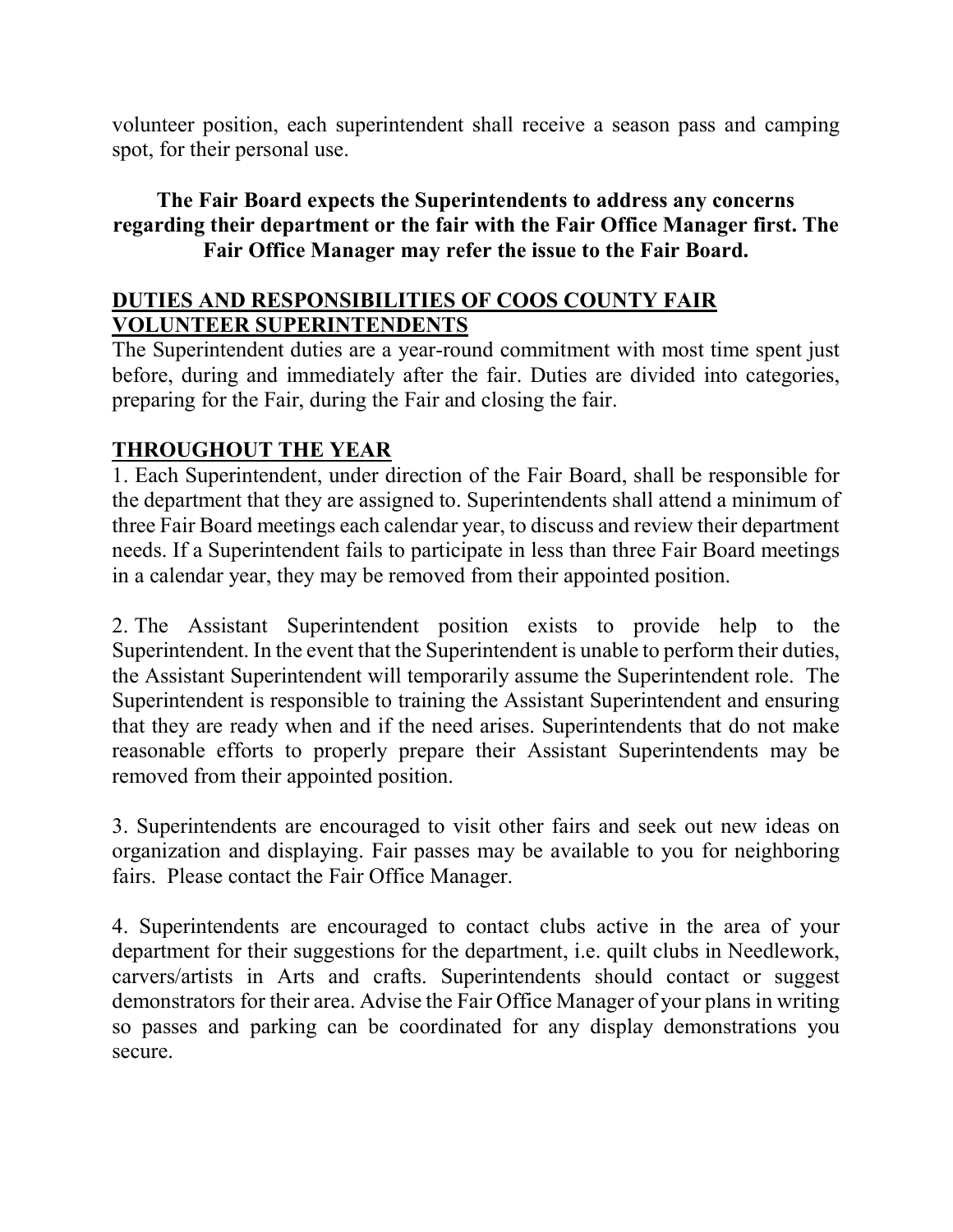volunteer position, each superintendent shall receive a season pass and camping spot, for their personal use.

#### The Fair Board expects the Superintendents to address any concerns regarding their department or the fair with the Fair Office Manager first. The Fair Office Manager may refer the issue to the Fair Board.

#### DUTIES AND RESPONSIBILITIES OF COOS COUNTY FAIR VOLUNTEER SUPERINTENDENTS

The Superintendent duties are a year-round commitment with most time spent just before, during and immediately after the fair. Duties are divided into categories, preparing for the Fair, during the Fair and closing the fair.

### THROUGHOUT THE YEAR

1. Each Superintendent, under direction of the Fair Board, shall be responsible for the department that they are assigned to. Superintendents shall attend a minimum of three Fair Board meetings each calendar year, to discuss and review their department needs. If a Superintendent fails to participate in less than three Fair Board meetings in a calendar year, they may be removed from their appointed position.

2. The Assistant Superintendent position exists to provide help to the Superintendent. In the event that the Superintendent is unable to perform their duties, the Assistant Superintendent will temporarily assume the Superintendent role. The Superintendent is responsible to training the Assistant Superintendent and ensuring that they are ready when and if the need arises. Superintendents that do not make reasonable efforts to properly prepare their Assistant Superintendents may be removed from their appointed position.

3. Superintendents are encouraged to visit other fairs and seek out new ideas on organization and displaying. Fair passes may be available to you for neighboring fairs. Please contact the Fair Office Manager.

4. Superintendents are encouraged to contact clubs active in the area of your department for their suggestions for the department, i.e. quilt clubs in Needlework, carvers/artists in Arts and crafts. Superintendents should contact or suggest demonstrators for their area. Advise the Fair Office Manager of your plans in writing so passes and parking can be coordinated for any display demonstrations you secure.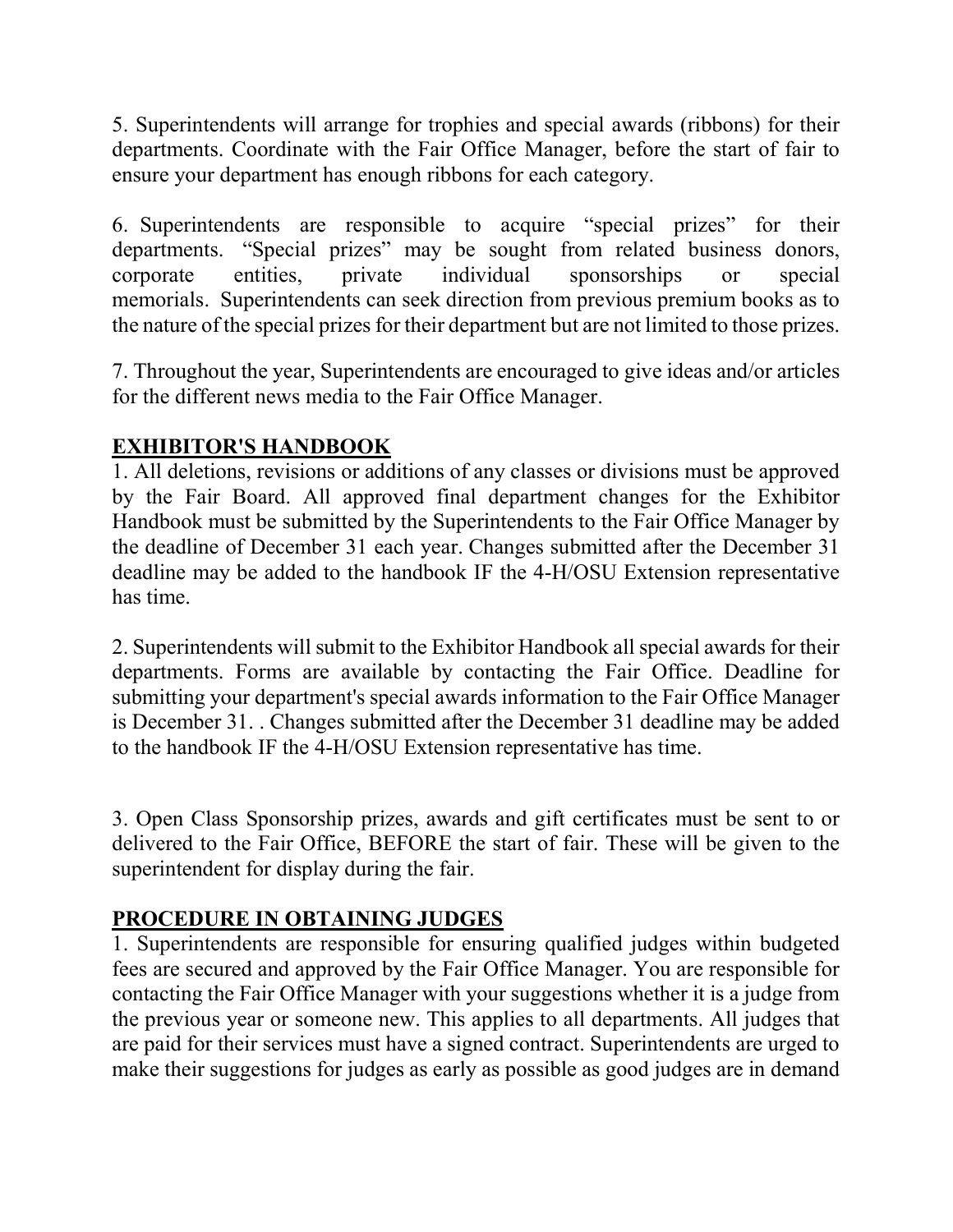5. Superintendents will arrange for trophies and special awards (ribbons) for their departments. Coordinate with the Fair Office Manager, before the start of fair to ensure your department has enough ribbons for each category.

6. Superintendents are responsible to acquire "special prizes" for their departments. "Special prizes" may be sought from related business donors, corporate entities, private individual sponsorships or special memorials. Superintendents can seek direction from previous premium books as to the nature of the special prizes for their department but are not limited to those prizes.

7. Throughout the year, Superintendents are encouraged to give ideas and/or articles for the different news media to the Fair Office Manager.

# EXHIBITOR'S HANDBOOK

1. All deletions, revisions or additions of any classes or divisions must be approved by the Fair Board. All approved final department changes for the Exhibitor Handbook must be submitted by the Superintendents to the Fair Office Manager by the deadline of December 31 each year. Changes submitted after the December 31 deadline may be added to the handbook IF the 4-H/OSU Extension representative has time.

2. Superintendents will submit to the Exhibitor Handbook all special awards for their departments. Forms are available by contacting the Fair Office. Deadline for submitting your department's special awards information to the Fair Office Manager is December 31. . Changes submitted after the December 31 deadline may be added to the handbook IF the 4-H/OSU Extension representative has time.

3. Open Class Sponsorship prizes, awards and gift certificates must be sent to or delivered to the Fair Office, BEFORE the start of fair. These will be given to the superintendent for display during the fair.

### PROCEDURE IN OBTAINING JUDGES

1. Superintendents are responsible for ensuring qualified judges within budgeted fees are secured and approved by the Fair Office Manager. You are responsible for contacting the Fair Office Manager with your suggestions whether it is a judge from the previous year or someone new. This applies to all departments. All judges that are paid for their services must have a signed contract. Superintendents are urged to make their suggestions for judges as early as possible as good judges are in demand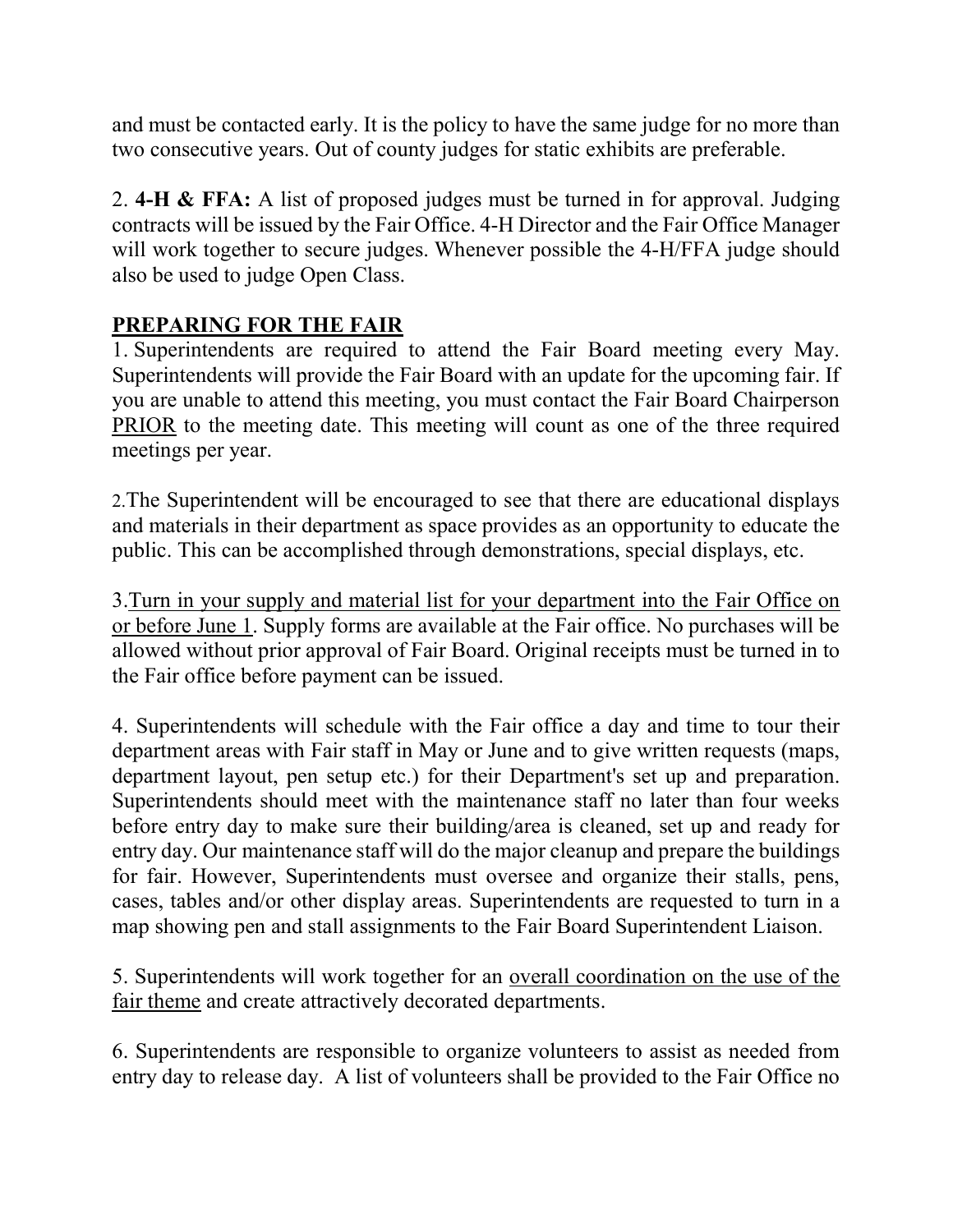and must be contacted early. It is the policy to have the same judge for no more than two consecutive years. Out of county judges for static exhibits are preferable.

2. 4-H & FFA: A list of proposed judges must be turned in for approval. Judging contracts will be issued by the Fair Office. 4-H Director and the Fair Office Manager will work together to secure judges. Whenever possible the 4-H/FFA judge should also be used to judge Open Class.

# PREPARING FOR THE FAIR

1. Superintendents are required to attend the Fair Board meeting every May. Superintendents will provide the Fair Board with an update for the upcoming fair. If you are unable to attend this meeting, you must contact the Fair Board Chairperson PRIOR to the meeting date. This meeting will count as one of the three required meetings per year.

2.The Superintendent will be encouraged to see that there are educational displays and materials in their department as space provides as an opportunity to educate the public. This can be accomplished through demonstrations, special displays, etc.

3.Turn in your supply and material list for your department into the Fair Office on or before June 1. Supply forms are available at the Fair office. No purchases will be allowed without prior approval of Fair Board. Original receipts must be turned in to the Fair office before payment can be issued.

4. Superintendents will schedule with the Fair office a day and time to tour their department areas with Fair staff in May or June and to give written requests (maps, department layout, pen setup etc.) for their Department's set up and preparation. Superintendents should meet with the maintenance staff no later than four weeks before entry day to make sure their building/area is cleaned, set up and ready for entry day. Our maintenance staff will do the major cleanup and prepare the buildings for fair. However, Superintendents must oversee and organize their stalls, pens, cases, tables and/or other display areas. Superintendents are requested to turn in a map showing pen and stall assignments to the Fair Board Superintendent Liaison.

5. Superintendents will work together for an overall coordination on the use of the fair theme and create attractively decorated departments.

6. Superintendents are responsible to organize volunteers to assist as needed from entry day to release day. A list of volunteers shall be provided to the Fair Office no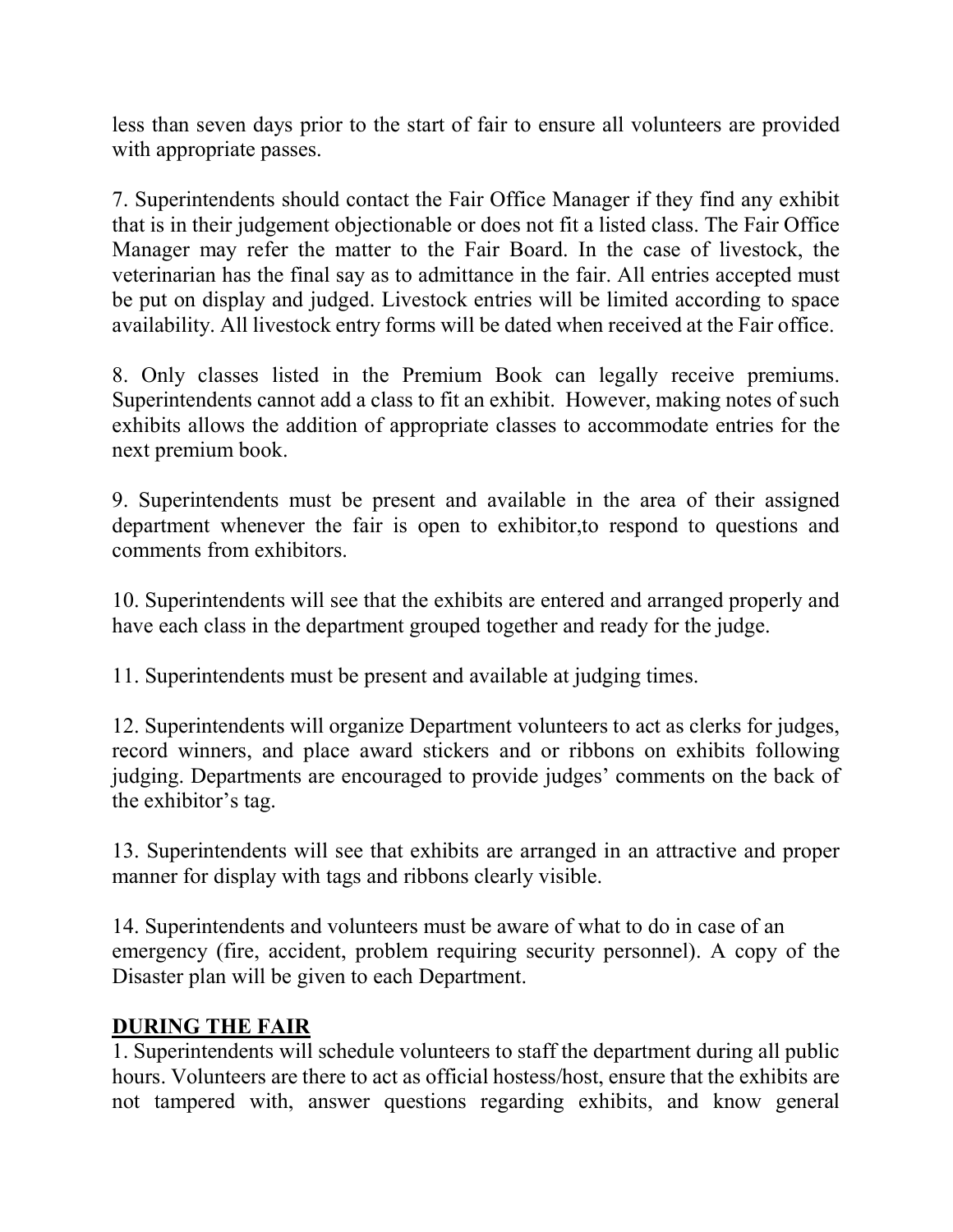less than seven days prior to the start of fair to ensure all volunteers are provided with appropriate passes.

7. Superintendents should contact the Fair Office Manager if they find any exhibit that is in their judgement objectionable or does not fit a listed class. The Fair Office Manager may refer the matter to the Fair Board. In the case of livestock, the veterinarian has the final say as to admittance in the fair. All entries accepted must be put on display and judged. Livestock entries will be limited according to space availability. All livestock entry forms will be dated when received at the Fair office.

8. Only classes listed in the Premium Book can legally receive premiums. Superintendents cannot add a class to fit an exhibit. However, making notes of such exhibits allows the addition of appropriate classes to accommodate entries for the next premium book.

9. Superintendents must be present and available in the area of their assigned department whenever the fair is open to exhibitor,to respond to questions and comments from exhibitors.

10. Superintendents will see that the exhibits are entered and arranged properly and have each class in the department grouped together and ready for the judge.

11. Superintendents must be present and available at judging times.

12. Superintendents will organize Department volunteers to act as clerks for judges, record winners, and place award stickers and or ribbons on exhibits following judging. Departments are encouraged to provide judges' comments on the back of the exhibitor's tag.

13. Superintendents will see that exhibits are arranged in an attractive and proper manner for display with tags and ribbons clearly visible.

14. Superintendents and volunteers must be aware of what to do in case of an emergency (fire, accident, problem requiring security personnel). A copy of the Disaster plan will be given to each Department.

### DURING THE FAIR

1. Superintendents will schedule volunteers to staff the department during all public hours. Volunteers are there to act as official hostess/host, ensure that the exhibits are not tampered with, answer questions regarding exhibits, and know general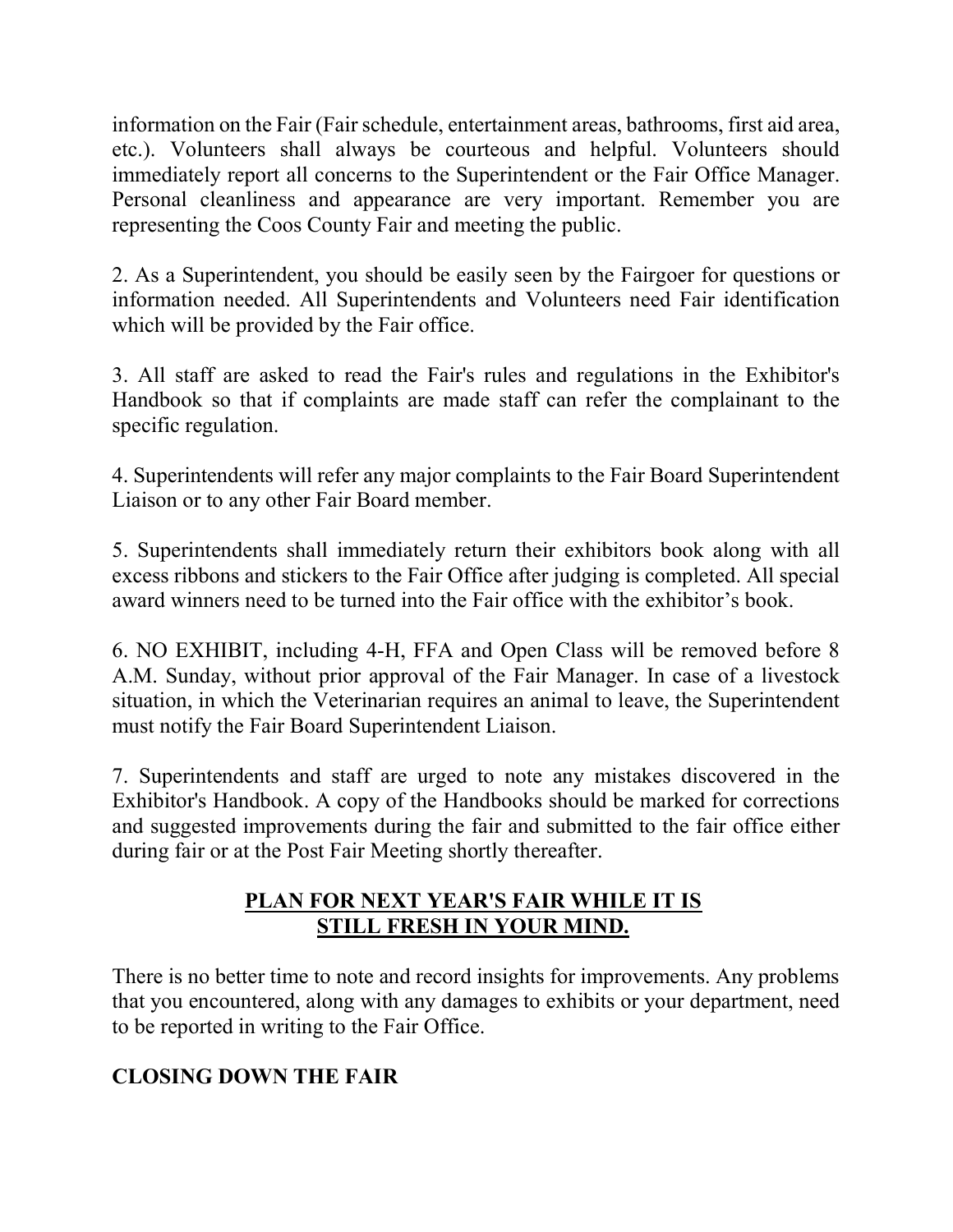information on the Fair (Fair schedule, entertainment areas, bathrooms, first aid area, etc.). Volunteers shall always be courteous and helpful. Volunteers should immediately report all concerns to the Superintendent or the Fair Office Manager. Personal cleanliness and appearance are very important. Remember you are representing the Coos County Fair and meeting the public.

2. As a Superintendent, you should be easily seen by the Fairgoer for questions or information needed. All Superintendents and Volunteers need Fair identification which will be provided by the Fair office.

3. All staff are asked to read the Fair's rules and regulations in the Exhibitor's Handbook so that if complaints are made staff can refer the complainant to the specific regulation.

4. Superintendents will refer any major complaints to the Fair Board Superintendent Liaison or to any other Fair Board member.

5. Superintendents shall immediately return their exhibitors book along with all excess ribbons and stickers to the Fair Office after judging is completed. All special award winners need to be turned into the Fair office with the exhibitor's book.

6. NO EXHIBIT, including 4-H, FFA and Open Class will be removed before 8 A.M. Sunday, without prior approval of the Fair Manager. In case of a livestock situation, in which the Veterinarian requires an animal to leave, the Superintendent must notify the Fair Board Superintendent Liaison.

7. Superintendents and staff are urged to note any mistakes discovered in the Exhibitor's Handbook. A copy of the Handbooks should be marked for corrections and suggested improvements during the fair and submitted to the fair office either during fair or at the Post Fair Meeting shortly thereafter.

# PLAN FOR NEXT YEAR'S FAIR WHILE IT IS STILL FRESH IN YOUR MIND.

There is no better time to note and record insights for improvements. Any problems that you encountered, along with any damages to exhibits or your department, need to be reported in writing to the Fair Office.

# CLOSING DOWN THE FAIR